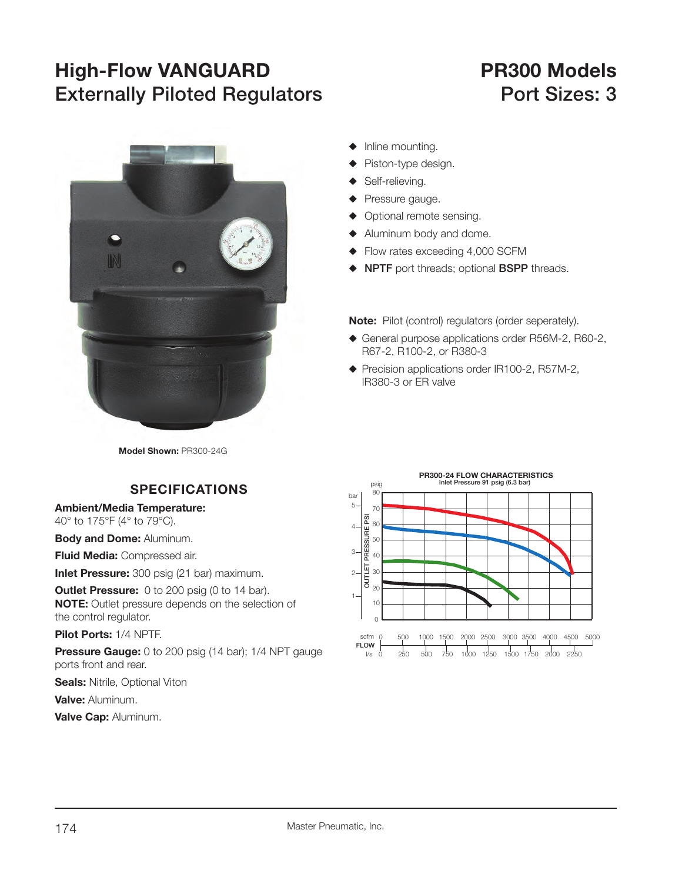## **High-Flow VANGUARD PR300 Models Externally Piloted Regulators Port Sizes: 3**



- $\blacklozenge$  Inline mounting.
- Piston-type design.
- Self-relieving.
- Pressure gauge.
- $\blacklozenge$  Optional remote sensing.
- $\blacklozenge$  Aluminum body and dome.
- $\blacklozenge$  Flow rates exceeding 4,000 SCFM
- **NPTF** port threads; optional **BSPP** threads.

**Note:** Pilot (control) regulators (order seperately).

- ◆ General purpose applications order R56M-2, R60-2, R67-2, R100-2, or R380-3
- ◆ Precision applications order IR100-2, R57M-2, IR380-3 or ER valve

**Model Shown:** PR300-24G

## **SPECIFICATIONS**

**Ambient/Media Temperature:**

40° to 175°F (4° to 79°C).

**Body and Dome:** Aluminum.

**Fluid Media:** Compressed air.

**Inlet Pressure:** 300 psig (21 bar) maximum.

**Outlet Pressure:** 0 to 200 psig (0 to 14 bar). **NOTE:** Outlet pressure depends on the selection of the control regulator.

**Pilot Ports:** 1/4 NPTF.

**Pressure Gauge:** 0 to 200 psig (14 bar); 1/4 NPT gauge ports front and rear.

**Seals: Nitrile, Optional Viton** 

**Valve:** Aluminum.

**Valve Cap:** Aluminum.